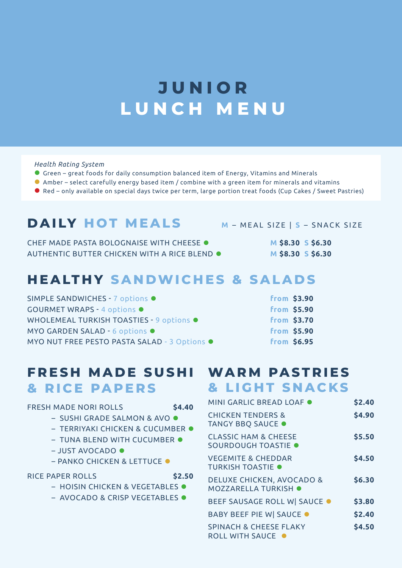## **JUNIOR LUNCH MENU**

#### *Health Rating System*

- ⚫ Green great foods for daily consumption balanced item of Energy, Vitamins and Minerals
- ⚫ Amber select carefully energy based item / combine with a green item for minerals and vitamins
- Red only available on special days twice per term, large portion treat foods (Cup Cakes / Sweet Pastries)

## **DAILY HOT MEALS <sup>M</sup>**– MEAL SIZE | **S** – SNACK SIZE

CHEF MADE PASTA BOLOGNAISE WITH CHEESE ● **M \$8.30 S \$6.30** AUTHENTIC BUTTER CHICKEN WITH A RICE BLEND ⚫ **M \$8.30 S \$6.30**

## **HEALTHY SANDWICHES & SALADS**

| SIMPLE SANDWICHES - 7 options ●              | from \$3.90        |
|----------------------------------------------|--------------------|
| <b>GOURMET WRAPS - 4 options ·</b>           | <b>from \$5.90</b> |
| WHOLEMEAL TURKISH TOASTIES - 9 options ●     | from \$3.70        |
| MYO GARDEN SALAD - 6 options ·               | from \$5.90        |
| MYO NUT FREE PESTO PASTA SALAD - 3 Options . | from \$6.95        |

### **FRESH MADE SUSHI WARM PASTRIES & RICE PAPERS**

#### FRESH MADE NORI ROLLS **\$4.40**

- SUSHI GRADE SALMON & AVO ⚫
- TERRIYAKI CHICKEN & CUCUMBER ⚫
- TUNA BLEND WITH CUCUMBER ●
- JUST AVOCADO ⚫
- PANKO CHICKEN & LETTUCE ⚫

#### RICE PAPER ROLLS **\$2.50**

- HOISIN CHICKEN & VEGETABLES ⚫
- AVOCADO & CRISP VEGETABLES ⚫

# **& LIGHT SNACKS**

| \$2.40 |
|--------|
| \$4.90 |
| \$5.50 |
| \$4.50 |
| \$6.30 |
| \$3.80 |
| \$2.40 |
| \$4.50 |
|        |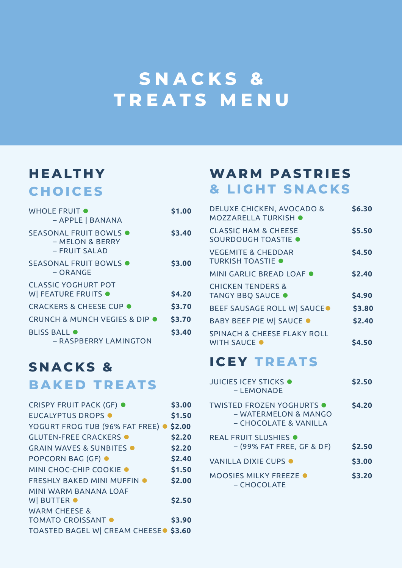## **SNACKS & TREATS MENU**

## **HEALTHY CHOICES**

| WHOLE FRUIT $\bullet$<br>- APPLE   BANANA                          | \$1.00 |
|--------------------------------------------------------------------|--------|
| SEASONAL FRUIT BOWLS $\bullet$<br>– MELON & BERRY<br>– FRUIT SALAD | \$3.40 |
| SEASONAL FRUIT BOWLS $\bullet$<br>– ORANGE                         | \$3.00 |
| <b>CLASSIC YOGHURT POT</b><br>W FEATURE FRUITS .                   | \$4.20 |
| <b>CRACKERS &amp; CHEESE CUP ●</b>                                 | \$3.70 |
| CRUNCH & MUNCH VEGIES & DIP ●                                      | \$3.70 |
| <b>BLISS BALL O</b><br>- RASPBERRY LAMINGTON                       | \$3.40 |

### **SNACKS & BAKED TREATS**

| <b>CRISPY FRUIT PACK (GF) ●</b>                  | \$3.00 |
|--------------------------------------------------|--------|
| <b>EUCALYPTUS DROPS ·</b>                        | \$1.50 |
| YOGURT FROG TUB (96% FAT FREE) ●                 | \$2.00 |
| <b>GLUTEN-FREE CRACKERS .</b>                    | \$2.20 |
| <b>GRAIN WAVES &amp; SUNBITES O</b>              | \$2.20 |
| <b>POPCORN BAG (GF) ●</b>                        | \$2.40 |
| MINI CHOC-CHIP COOKIE .                          | \$1.50 |
| <b>FRESHLY BAKED MINI MUFFIN .</b>               | \$2.00 |
| <b>MINI WARM BANANA LOAF</b>                     |        |
| W BUTTER $\bullet$                               | \$2.50 |
| <b>WARM CHEESE &amp;</b>                         |        |
| <b>TOMATO CROISSANT ●</b>                        | \$3.90 |
| TOASTED BAGEL W CREAM CHEESE <sup>.</sup> \$3.60 |        |

## **WARM PASTRIES & LIGHT SNACKS**

| <b>DELUXE CHICKEN, AVOCADO &amp;</b><br>MOZZARELLA TURKISH .  | \$6.30 |
|---------------------------------------------------------------|--------|
| <b>CLASSIC HAM &amp; CHEESE</b><br>SOURDOUGH TOASTIE .        | \$5.50 |
| <b>VEGEMITE &amp; CHEDDAR</b><br><b>TURKISH TOASTIE .</b>     | \$4.50 |
| MINI GARLIC BREAD LOAF ●                                      | \$2.40 |
| <b>CHICKEN TENDERS &amp;</b><br>TANGY BBQ SAUCE .             | \$4.90 |
| BEEF SAUSAGE ROLL W SAUCE.                                    | \$3.80 |
| <b>BABY BEEF PIE W  SAUCE ●</b>                               | \$2.40 |
| <b>SPINACH &amp; CHEESE FLAKY ROLL</b><br><b>WITH SAUCE O</b> | S4.5   |

## **ICEY TREATS**

| <b>JUICIES ICEY STICKS</b><br>$-I$ FMONADE                                      | \$2.50 |
|---------------------------------------------------------------------------------|--------|
| <b>TWISTED FROZEN YOGHURTS</b><br>– WATERMELON & MANGO<br>– CHOCOLATE & VANILLA | \$4.20 |
| REAL FRUIT SLUSHIES $\bullet$<br>- (99% FAT FREE, GF & DF)                      | \$2.50 |
| VANII LA DIXIF CUPS $\bullet$                                                   | \$3.00 |
| MOOSIES MILKY FREEZE .<br>$-CHOCOLATE$                                          | \$3.20 |